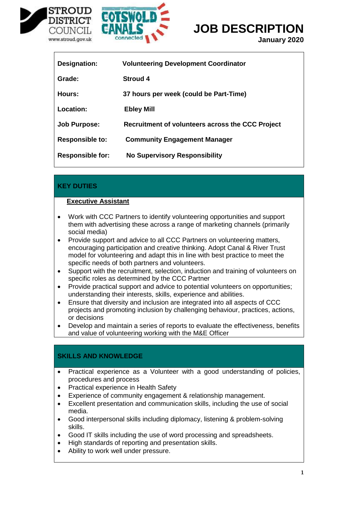



## **JOB DESCRIPTION**

**January 2020**

| Designation:            | <b>Volunteering Development Coordinator</b>      |
|-------------------------|--------------------------------------------------|
| Grade:                  | <b>Stroud 4</b>                                  |
| Hours:                  | 37 hours per week (could be Part-Time)           |
| Location:               | <b>Ebley Mill</b>                                |
| <b>Job Purpose:</b>     | Recruitment of volunteers across the CCC Project |
| <b>Responsible to:</b>  | <b>Community Engagement Manager</b>              |
| <b>Responsible for:</b> | <b>No Supervisory Responsibility</b>             |

### **KEY DUTIES**

#### **Executive Assistant**

- Work with CCC Partners to identify volunteering opportunities and support them with advertising these across a range of marketing channels (primarily social media)
- Provide support and advice to all CCC Partners on volunteering matters, encouraging participation and creative thinking. Adopt Canal & River Trust model for volunteering and adapt this in line with best practice to meet the specific needs of both partners and volunteers.
- Support with the recruitment, selection, induction and training of volunteers on specific roles as determined by the CCC Partner
- Provide practical support and advice to potential volunteers on opportunities; understanding their interests, skills, experience and abilities.
- Ensure that diversity and inclusion are integrated into all aspects of CCC projects and promoting inclusion by challenging behaviour, practices, actions, or decisions
- Develop and maintain a series of reports to evaluate the effectiveness, benefits and value of volunteering working with the M&E Officer

## **SKILLS AND KNOWLEDGE**

- Practical experience as a Volunteer with a good understanding of policies, procedures and process
- Practical experience in Health Safety
- Experience of community engagement & relationship management.
- Excellent presentation and communication skills, including the use of social media.
- Good interpersonal skills including diplomacy, listening & problem-solving skills.
- Good IT skills including the use of word processing and spreadsheets.
- High standards of reporting and presentation skills.
- Ability to work well under pressure.